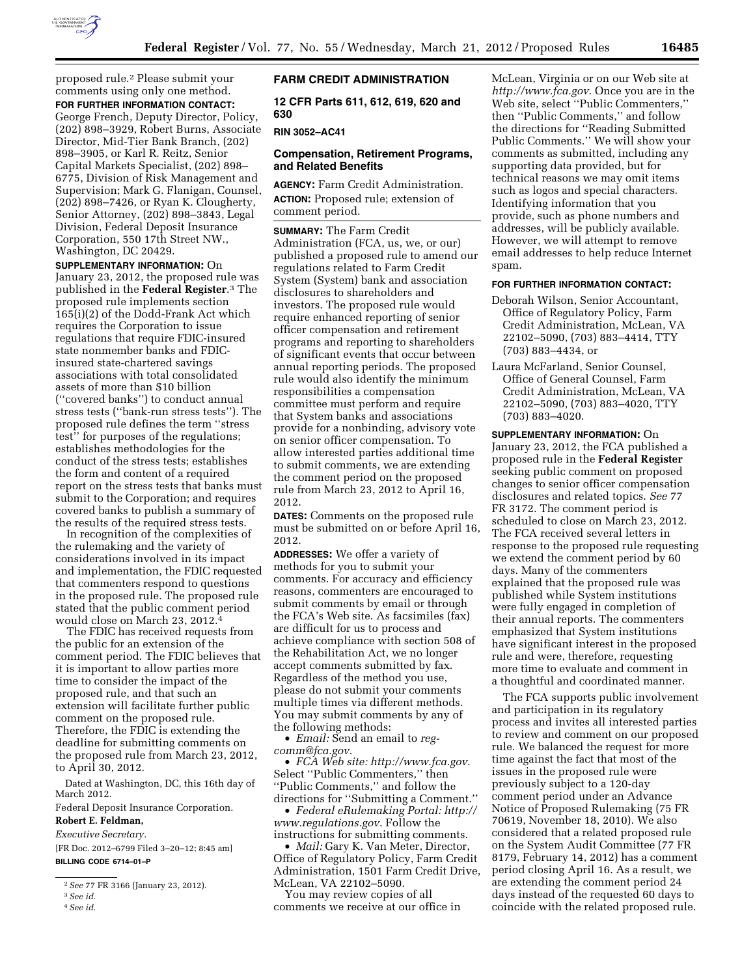

proposed rule.2 Please submit your comments using only one method. **FOR FURTHER INFORMATION CONTACT:** 

George French, Deputy Director, Policy, (202) 898–3929, Robert Burns, Associate Director, Mid-Tier Bank Branch, (202) 898–3905, or Karl R. Reitz, Senior Capital Markets Specialist, (202) 898– 6775, Division of Risk Management and Supervision; Mark G. Flanigan, Counsel, (202) 898–7426, or Ryan K. Clougherty, Senior Attorney, (202) 898–3843, Legal Division, Federal Deposit Insurance Corporation, 550 17th Street NW., Washington, DC 20429.

**SUPPLEMENTARY INFORMATION:** On January 23, 2012, the proposed rule was published in the **Federal Register**.3 The proposed rule implements section 165(i)(2) of the Dodd-Frank Act which requires the Corporation to issue regulations that require FDIC-insured state nonmember banks and FDICinsured state-chartered savings associations with total consolidated assets of more than \$10 billion (''covered banks'') to conduct annual stress tests (''bank-run stress tests''). The proposed rule defines the term ''stress test'' for purposes of the regulations; establishes methodologies for the conduct of the stress tests; establishes the form and content of a required report on the stress tests that banks must submit to the Corporation; and requires covered banks to publish a summary of the results of the required stress tests.

In recognition of the complexities of the rulemaking and the variety of considerations involved in its impact and implementation, the FDIC requested that commenters respond to questions in the proposed rule. The proposed rule stated that the public comment period would close on March 23, 2012.4

The FDIC has received requests from the public for an extension of the comment period. The FDIC believes that it is important to allow parties more time to consider the impact of the proposed rule, and that such an extension will facilitate further public comment on the proposed rule. Therefore, the FDIC is extending the deadline for submitting comments on the proposed rule from March 23, 2012, to April 30, 2012.

Dated at Washington, DC, this 16th day of March 2012.

Federal Deposit Insurance Corporation.

# **Robert E. Feldman,**

*Executive Secretary.* 

[FR Doc. 2012–6799 Filed 3–20–12; 8:45 am] **BILLING CODE 6714–01–P** 

4*See id.* 

## **FARM CREDIT ADMINISTRATION**

**12 CFR Parts 611, 612, 619, 620 and 630** 

#### **RIN 3052–AC41**

# **Compensation, Retirement Programs, and Related Benefits**

**AGENCY:** Farm Credit Administration. **ACTION:** Proposed rule; extension of comment period.

**SUMMARY:** The Farm Credit Administration (FCA, us, we, or our) published a proposed rule to amend our regulations related to Farm Credit System (System) bank and association disclosures to shareholders and investors. The proposed rule would require enhanced reporting of senior officer compensation and retirement programs and reporting to shareholders of significant events that occur between annual reporting periods. The proposed rule would also identify the minimum responsibilities a compensation committee must perform and require that System banks and associations provide for a nonbinding, advisory vote on senior officer compensation. To allow interested parties additional time to submit comments, we are extending the comment period on the proposed rule from March 23, 2012 to April 16, 2012.

**DATES:** Comments on the proposed rule must be submitted on or before April 16, 2012.

**ADDRESSES:** We offer a variety of methods for you to submit your comments. For accuracy and efficiency reasons, commenters are encouraged to submit comments by email or through the FCA's Web site. As facsimiles (fax) are difficult for us to process and achieve compliance with section 508 of the Rehabilitation Act, we no longer accept comments submitted by fax. Regardless of the method you use, please do not submit your comments multiple times via different methods. You may submit comments by any of the following methods:

• *Email:* Send an email to *[reg](mailto:reg-comm@fca.gov)[comm@fca.gov](mailto:reg-comm@fca.gov)*.

• *FCA Web site[: http://www.fca.gov](http://www.fca.gov)*. Select ''Public Commenters,'' then ''Public Comments,'' and follow the directions for ''Submitting a Comment.''

• *Federal eRulemaking Portal: [http://](http://www.regulations.gov)  [www.regulations.gov](http://www.regulations.gov)*. Follow the instructions for submitting comments.

• *Mail:* Gary K. Van Meter, Director, Office of Regulatory Policy, Farm Credit Administration, 1501 Farm Credit Drive, McLean, VA 22102–5090.

You may review copies of all comments we receive at our office in McLean, Virginia or on our Web site at *<http://www.fca.gov>*. Once you are in the Web site, select ''Public Commenters,'' then ''Public Comments,'' and follow the directions for ''Reading Submitted Public Comments.'' We will show your comments as submitted, including any supporting data provided, but for technical reasons we may omit items such as logos and special characters. Identifying information that you provide, such as phone numbers and addresses, will be publicly available. However, we will attempt to remove email addresses to help reduce Internet spam.

#### **FOR FURTHER INFORMATION CONTACT:**

- Deborah Wilson, Senior Accountant, Office of Regulatory Policy, Farm Credit Administration, McLean, VA 22102–5090, (703) 883–4414, TTY (703) 883–4434, or
- Laura McFarland, Senior Counsel, Office of General Counsel, Farm Credit Administration, McLean, VA 22102–5090, (703) 883–4020, TTY (703) 883–4020.

**SUPPLEMENTARY INFORMATION:** On January 23, 2012, the FCA published a proposed rule in the **Federal Register**  seeking public comment on proposed changes to senior officer compensation disclosures and related topics. *See* 77 FR 3172. The comment period is scheduled to close on March 23, 2012. The FCA received several letters in response to the proposed rule requesting we extend the comment period by 60 days. Many of the commenters explained that the proposed rule was published while System institutions were fully engaged in completion of their annual reports. The commenters emphasized that System institutions have significant interest in the proposed rule and were, therefore, requesting more time to evaluate and comment in a thoughtful and coordinated manner.

The FCA supports public involvement and participation in its regulatory process and invites all interested parties to review and comment on our proposed rule. We balanced the request for more time against the fact that most of the issues in the proposed rule were previously subject to a 120-day comment period under an Advance Notice of Proposed Rulemaking (75 FR 70619, November 18, 2010). We also considered that a related proposed rule on the System Audit Committee (77 FR 8179, February 14, 2012) has a comment period closing April 16. As a result, we are extending the comment period 24 days instead of the requested 60 days to coincide with the related proposed rule.

<sup>2</sup>*See* 77 FR 3166 (January 23, 2012).

<sup>3</sup>*See id.*